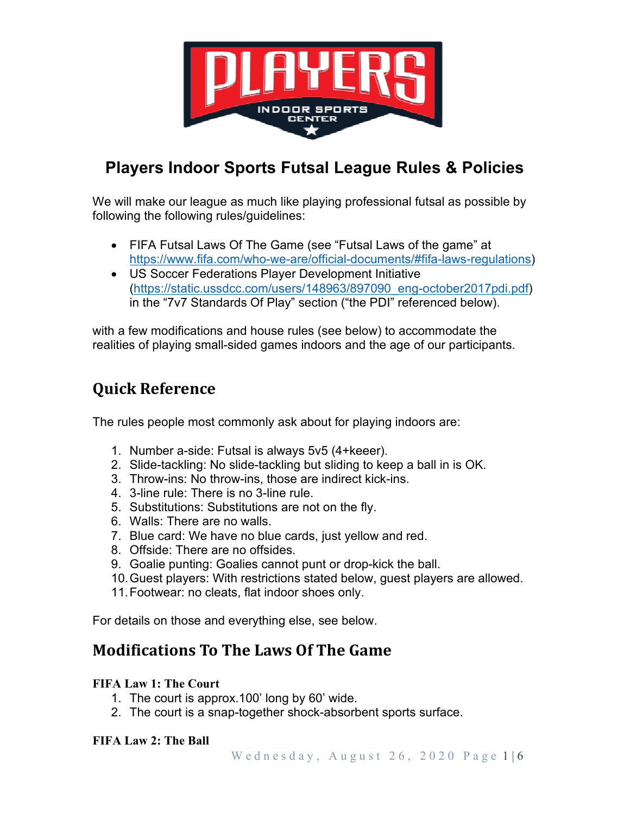

# **Players Indoor Sports Futsal League Rules & Policies**

We will make our league as much like playing professional futsal as possible by following the following rules/guidelines:

- FIFA Futsal Laws Of The Game (see "Futsal Laws of the game" at https://www.fifa.com/who-we-are/official-documents/#fifa-laws-regulations)
- US Soccer Federations Player Development Initiative (https://static.ussdcc.com/users/148963/897090\_eng-october2017pdi.pdf) in the "7v7 Standards Of Play" section ("the PDI" referenced below).

with a few modifications and house rules (see below) to accommodate the realities of playing small-sided games indoors and the age of our participants.

# **Quick Reference**

The rules people most commonly ask about for playing indoors are:

- 1. Number a-side: Futsal is always 5v5 (4+keeer).
- 2. Slide-tackling: No slide-tackling but sliding to keep a ball in is OK.
- 3. Throw-ins: No throw-ins, those are indirect kick-ins.
- 4. 3-line rule: There is no 3-line rule.
- 5. Substitutions: Substitutions are not on the fly.
- 6. Walls: There are no walls.
- 7. Blue card: We have no blue cards, just yellow and red.
- 8. Offside: There are no offsides.
- 9. Goalie punting: Goalies cannot punt or drop-kick the ball.
- 10. Guest players: With restrictions stated below, guest players are allowed.
- 11. Footwear: no cleats, flat indoor shoes only.

For details on those and everything else, see below.

## **Modifications To The Laws Of The Game**

### **FIFA Law 1: The Court**

- 1. The court is approx.100' long by 60' wide.
- 2. The court is a snap-together shock-absorbent sports surface.

### **FIFA Law 2: The Ball**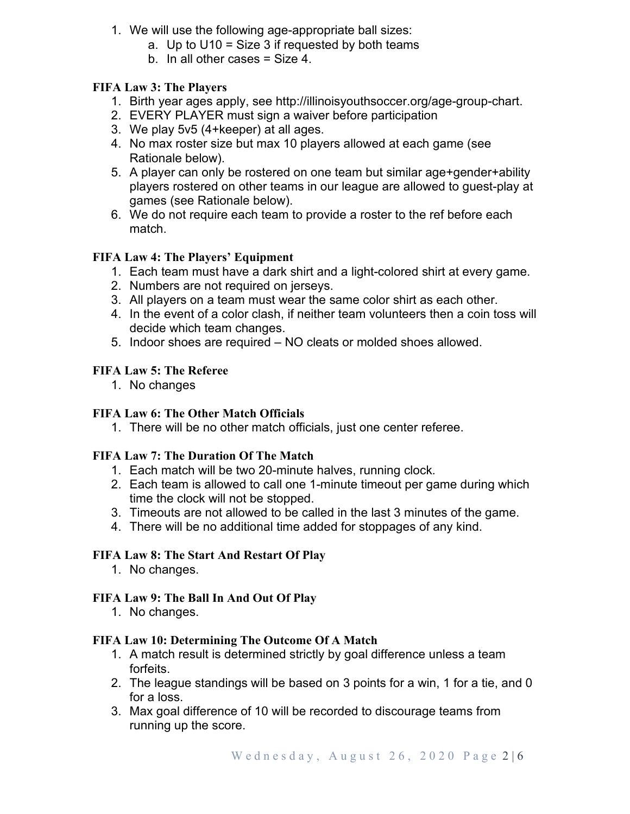- 1. We will use the following age-appropriate ball sizes:
	- a. Up to U10 = Size 3 if requested by both teams
	- b. In all other cases = Size 4.

### **FIFA Law 3: The Players**

- 1. Birth year ages apply, see http://illinoisyouthsoccer.org/age-group-chart.
- 2. EVERY PLAYER must sign a waiver before participation
- 3. We play 5v5 (4+keeper) at all ages.
- 4. No max roster size but max 10 players allowed at each game (see Rationale below).
- 5. A player can only be rostered on one team but similar age+gender+ability players rostered on other teams in our league are allowed to guest-play at games (see Rationale below).
- 6. We do not require each team to provide a roster to the ref before each match.

### **FIFA Law 4: The Players' Equipment**

- 1. Each team must have a dark shirt and a light-colored shirt at every game.
- 2. Numbers are not required on jerseys.
- 3. All players on a team must wear the same color shirt as each other.
- 4. In the event of a color clash, if neither team volunteers then a coin toss will decide which team changes.
- 5. Indoor shoes are required NO cleats or molded shoes allowed.

### **FIFA Law 5: The Referee**

1. No changes

### **FIFA Law 6: The Other Match Officials**

1. There will be no other match officials, just one center referee.

### **FIFA Law 7: The Duration Of The Match**

- 1. Each match will be two 20-minute halves, running clock.
- 2. Each team is allowed to call one 1-minute timeout per game during which time the clock will not be stopped.
- 3. Timeouts are not allowed to be called in the last 3 minutes of the game.
- 4. There will be no additional time added for stoppages of any kind.

### **FIFA Law 8: The Start And Restart Of Play**

1. No changes.

### **FIFA Law 9: The Ball In And Out Of Play**

1. No changes.

### **FIFA Law 10: Determining The Outcome Of A Match**

- 1. A match result is determined strictly by goal difference unless a team forfeits.
- 2. The league standings will be based on 3 points for a win, 1 for a tie, and 0 for a loss.
- 3. Max goal difference of 10 will be recorded to discourage teams from running up the score.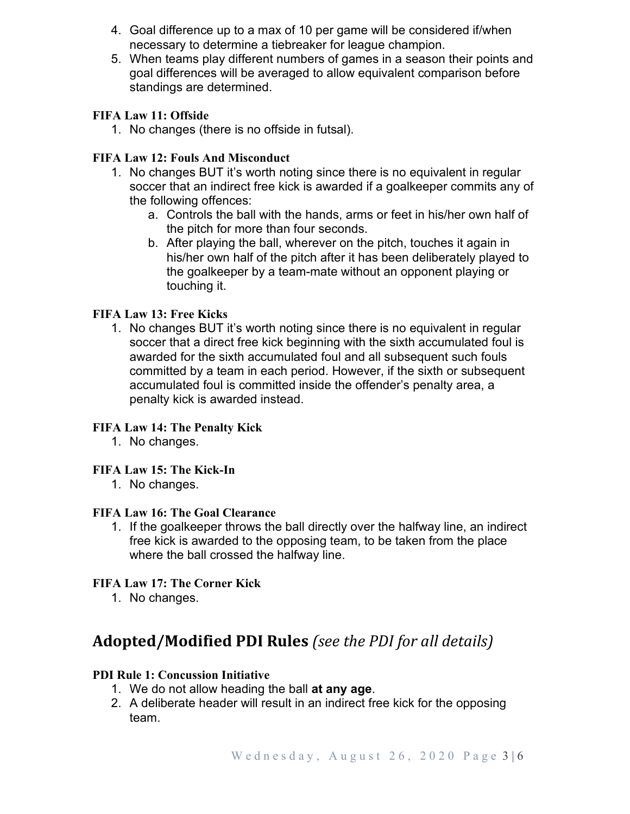- 4. Goal difference up to a max of 10 per game will be considered if/when necessary to determine a tiebreaker for league champion.
- 5. When teams play different numbers of games in a season their points and goal differences will be averaged to allow equivalent comparison before standings are determined.

### **FIFA Law 11: Offside**

1. No changes (there is no offside in futsal).

### **FIFA Law 12: Fouls And Misconduct**

- 1. No changes BUT it's worth noting since there is no equivalent in regular soccer that an indirect free kick is awarded if a goalkeeper commits any of the following offences:
	- a. Controls the ball with the hands, arms or feet in his/her own half of the pitch for more than four seconds.
	- b. After playing the ball, wherever on the pitch, touches it again in his/her own half of the pitch after it has been deliberately played to the goalkeeper by a team-mate without an opponent playing or touching it.

### **FIFA Law 13: Free Kicks**

1. No changes BUT it's worth noting since there is no equivalent in regular soccer that a direct free kick beginning with the sixth accumulated foul is awarded for the sixth accumulated foul and all subsequent such fouls committed by a team in each period. However, if the sixth or subsequent accumulated foul is committed inside the offender's penalty area, a penalty kick is awarded instead.

### **FIFA Law 14: The Penalty Kick**

1. No changes.

### **FIFA Law 15: The Kick-In**

1. No changes.

### **FIFA Law 16: The Goal Clearance**

1. If the goalkeeper throws the ball directly over the halfway line, an indirect free kick is awarded to the opposing team, to be taken from the place where the ball crossed the halfway line.

### **FIFA Law 17: The Corner Kick**

1. No changes.

## **Adopted/Modified PDI Rules** *(see the PDI for all details)*

### **PDI Rule 1: Concussion Initiative**

- 1. We do not allow heading the ball **at any age**.
- 2. A deliberate header will result in an indirect free kick for the opposing team.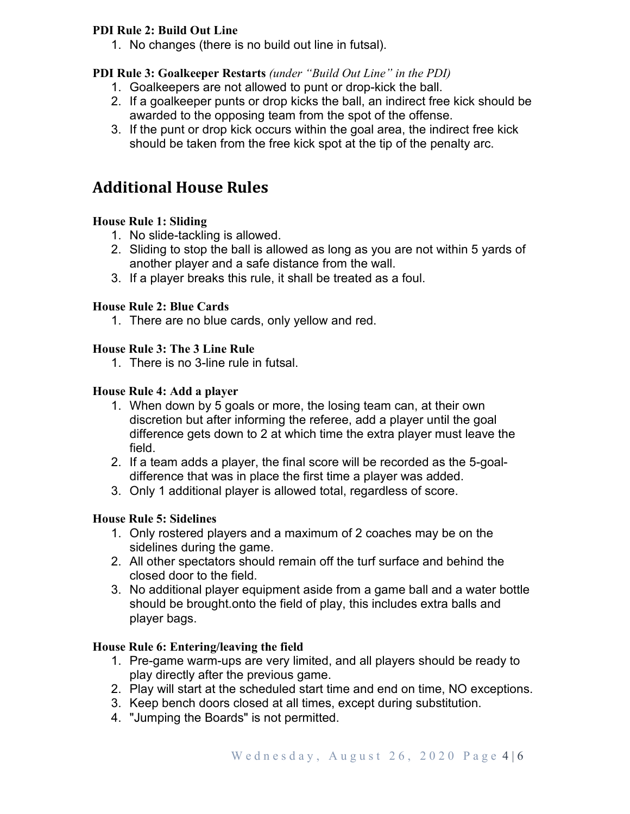### **PDI Rule 2: Build Out Line**

1. No changes (there is no build out line in futsal).

### **PDI Rule 3: Goalkeeper Restarts** *(under "Build Out Line" in the PDI)*

- 1. Goalkeepers are not allowed to punt or drop-kick the ball.
- 2. If a goalkeeper punts or drop kicks the ball, an indirect free kick should be awarded to the opposing team from the spot of the offense.
- 3. If the punt or drop kick occurs within the goal area, the indirect free kick should be taken from the free kick spot at the tip of the penalty arc.

## **Additional House Rules**

### **House Rule 1: Sliding**

- 1. No slide-tackling is allowed.
- 2. Sliding to stop the ball is allowed as long as you are not within 5 yards of another player and a safe distance from the wall.
- 3. If a player breaks this rule, it shall be treated as a foul.

#### **House Rule 2: Blue Cards**

1. There are no blue cards, only yellow and red.

#### **House Rule 3: The 3 Line Rule**

1. There is no 3-line rule in futsal.

#### **House Rule 4: Add a player**

- 1. When down by 5 goals or more, the losing team can, at their own discretion but after informing the referee, add a player until the goal difference gets down to 2 at which time the extra player must leave the field.
- 2. If a team adds a player, the final score will be recorded as the 5-goaldifference that was in place the first time a player was added.
- 3. Only 1 additional player is allowed total, regardless of score.

### **House Rule 5: Sidelines**

- 1. Only rostered players and a maximum of 2 coaches may be on the sidelines during the game.
- 2. All other spectators should remain off the turf surface and behind the closed door to the field.
- 3. No additional player equipment aside from a game ball and a water bottle should be brought.onto the field of play, this includes extra balls and player bags.

#### **House Rule 6: Entering/leaving the field**

- 1. Pre-game warm-ups are very limited, and all players should be ready to play directly after the previous game.
- 2. Play will start at the scheduled start time and end on time, NO exceptions.
- 3. Keep bench doors closed at all times, except during substitution.
- 4. "Jumping the Boards" is not permitted.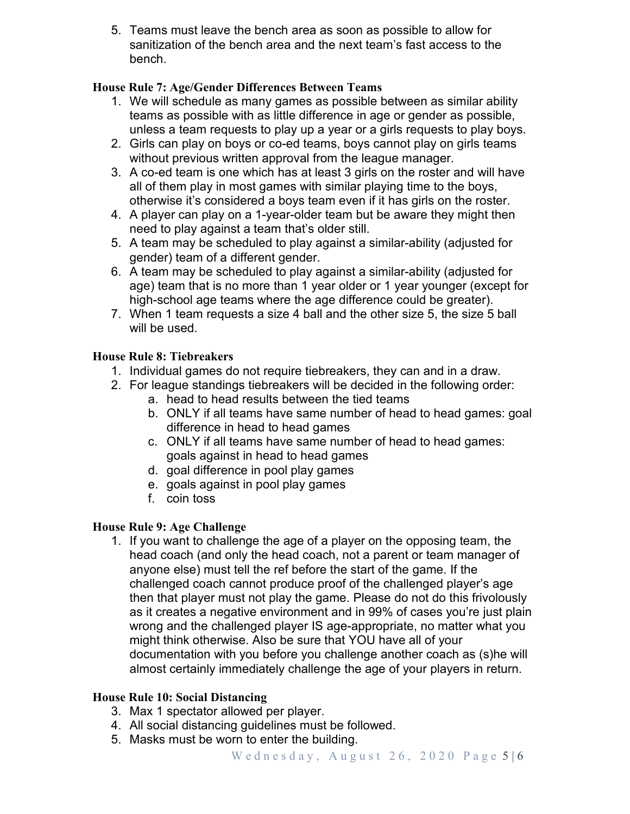5. Teams must leave the bench area as soon as possible to allow for sanitization of the bench area and the next team's fast access to the bench.

### **House Rule 7: Age/Gender Differences Between Teams**

- 1. We will schedule as many games as possible between as similar ability teams as possible with as little difference in age or gender as possible, unless a team requests to play up a year or a girls requests to play boys.
- 2. Girls can play on boys or co-ed teams, boys cannot play on girls teams without previous written approval from the league manager.
- 3. A co-ed team is one which has at least 3 girls on the roster and will have all of them play in most games with similar playing time to the boys, otherwise it's considered a boys team even if it has girls on the roster.
- 4. A player can play on a 1-year-older team but be aware they might then need to play against a team that's older still.
- 5. A team may be scheduled to play against a similar-ability (adjusted for gender) team of a different gender.
- 6. A team may be scheduled to play against a similar-ability (adjusted for age) team that is no more than 1 year older or 1 year younger (except for high-school age teams where the age difference could be greater).
- 7. When 1 team requests a size 4 ball and the other size 5, the size 5 ball will be used.

### **House Rule 8: Tiebreakers**

- 1. Individual games do not require tiebreakers, they can and in a draw.
- 2. For league standings tiebreakers will be decided in the following order:
	- a. head to head results between the tied teams
	- b. ONLY if all teams have same number of head to head games: goal difference in head to head games
	- c. ONLY if all teams have same number of head to head games: goals against in head to head games
	- d. goal difference in pool play games
	- e. goals against in pool play games
	- f. coin toss

### **House Rule 9: Age Challenge**

1. If you want to challenge the age of a player on the opposing team, the head coach (and only the head coach, not a parent or team manager of anyone else) must tell the ref before the start of the game. If the challenged coach cannot produce proof of the challenged player's age then that player must not play the game. Please do not do this frivolously as it creates a negative environment and in 99% of cases you're just plain wrong and the challenged player IS age-appropriate, no matter what you might think otherwise. Also be sure that YOU have all of your documentation with you before you challenge another coach as (s)he will almost certainly immediately challenge the age of your players in return.

### **House Rule 10: Social Distancing**

- 3. Max 1 spectator allowed per player.
- 4. All social distancing guidelines must be followed.
- 5. Masks must be worn to enter the building.